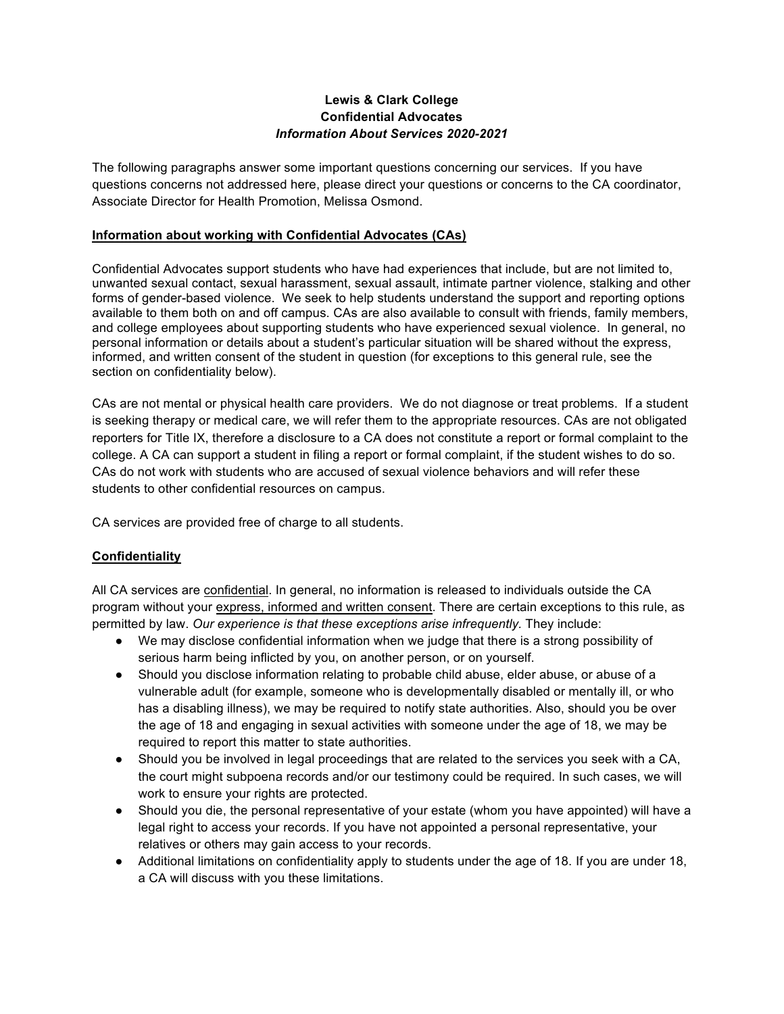### **Lewis & Clark College Confidential Advocates** *Information About Services 2020-2021*

The following paragraphs answer some important questions concerning our services. If you have questions concerns not addressed here, please direct your questions or concerns to the CA coordinator, Associate Director for Health Promotion, Melissa Osmond.

#### **Information about working with Confidential Advocates (CAs)**

Confidential Advocates support students who have had experiences that include, but are not limited to, unwanted sexual contact, sexual harassment, sexual assault, intimate partner violence, stalking and other forms of gender-based violence. We seek to help students understand the support and reporting options available to them both on and off campus. CAs are also available to consult with friends, family members, and college employees about supporting students who have experienced sexual violence. In general, no personal information or details about a student's particular situation will be shared without the express, informed, and written consent of the student in question (for exceptions to this general rule, see the section on confidentiality below).

CAs are not mental or physical health care providers. We do not diagnose or treat problems. If a student is seeking therapy or medical care, we will refer them to the appropriate resources. CAs are not obligated reporters for Title IX, therefore a disclosure to a CA does not constitute a report or formal complaint to the college. A CA can support a student in filing a report or formal complaint, if the student wishes to do so. CAs do not work with students who are accused of sexual violence behaviors and will refer these students to other confidential resources on campus.

CA services are provided free of charge to all students.

# **Confidentiality**

All CA services are confidential. In general, no information is released to individuals outside the CA program without your express, informed and written consent. There are certain exceptions to this rule, as permitted by law. *Our experience is that these exceptions arise infrequently.* They include:

- We may disclose confidential information when we judge that there is a strong possibility of serious harm being inflicted by you, on another person, or on yourself.
- Should you disclose information relating to probable child abuse, elder abuse, or abuse of a vulnerable adult (for example, someone who is developmentally disabled or mentally ill, or who has a disabling illness), we may be required to notify state authorities. Also, should you be over the age of 18 and engaging in sexual activities with someone under the age of 18, we may be required to report this matter to state authorities.
- Should you be involved in legal proceedings that are related to the services you seek with a CA, the court might subpoena records and/or our testimony could be required. In such cases, we will work to ensure your rights are protected.
- Should you die, the personal representative of your estate (whom you have appointed) will have a legal right to access your records. If you have not appointed a personal representative, your relatives or others may gain access to your records.
- Additional limitations on confidentiality apply to students under the age of 18. If you are under 18, a CA will discuss with you these limitations.